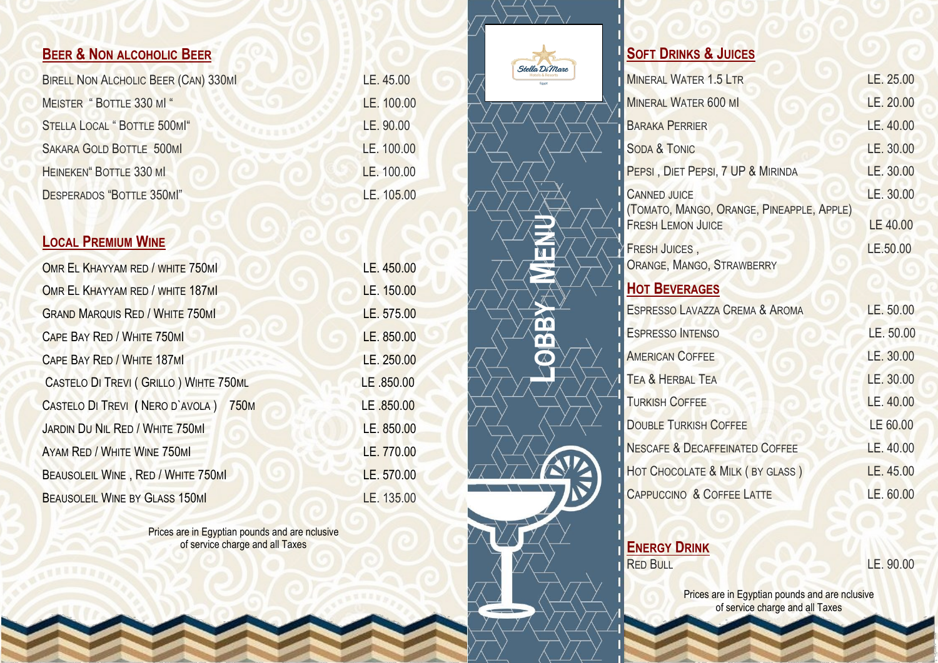# **BEER & NON ALCOHOLIC BEER**

| <b>BIRELL NON ALCHOLIC BEER (CAN) 330M</b> |
|--------------------------------------------|
| MEISTER "BOTTLE 330 MI"                    |
| STELLA LOCAL "BOTTLE 500MI"                |
| SAKARA GOLD BOTTLE 500MI                   |
| HEINEKEN" BOTTLE 330 MI                    |
| DESPERADOS "BOTTLE 350MI"                  |

# **LOCAL PREMIUM WINE**

| OMR EL KHAYYAM RED / WHITE 750MI               | LE. 450.00 |
|------------------------------------------------|------------|
| OMR EL KHAYYAM RED / WHITE 187M                | LE. 150.00 |
| <b>GRAND MARQUIS RED / WHITE 750MI</b>         | LE. 575.00 |
| <b>CAPE BAY RED / WHITE 750MI</b>              | LE. 850.00 |
| CAPE BAY RED / WHITE 187M                      | LE. 250.00 |
| CASTELO DI TREVI (GRILLO) WIHTE 750ML          | LE .850.00 |
| CASTELO DI TREVI (NERO D'AVOLA)<br><b>750M</b> | LE .850.00 |
| <b>JARDIN DU NIL RED / WHITE 750MI</b>         | LE. 850.00 |
| AYAM RED / WHITE WINE 750MI                    | LE. 770.00 |
| BEAUSOLEIL WINE, RED / WHITE 750MI             | LE. 570.00 |
| <b>BEAUSOLEIL WINE BY GLASS 150MI</b>          | LE. 135.00 |

Prices are in Egyptian pounds and are nclusive of service charge and all Taxes

|  | Ste |
|--|-----|
|  |     |
|  |     |
|  |     |
|  |     |
|  |     |
|  |     |
|  |     |

 $LE. 45.00$ 

LE. 100.00

LE. 90.00

LE. 100.00

LE. 100.00

LE. 105.00



**LOBBY**

**MENU**

# **SOFT DRINKS & JUICES**

| <b>MINERAL WATER 1.5 LTR</b>                                     | LE. 25.00 |
|------------------------------------------------------------------|-----------|
| <b>MINERAL WATER 600 MI</b>                                      | LE. 20.00 |
| <b>BARAKA PERRIER</b>                                            | LE. 40.00 |
| <b>SODA &amp; TONIC</b>                                          | LE. 30.00 |
| PEPSI, DIET PEPSI, 7 UP & MIRINDA                                | LE. 30.00 |
| <b>CANNED JUICE</b><br>(TOMATO, MANGO, ORANGE, PINEAPPLE, APPLE) | LE. 30.00 |
| <b>FRESH LEMON JUICE</b>                                         | LE 40.00  |
| <b>FRESH JUICES,</b><br>ORANGE, MANGO, STRAWBERRY                | LE.50.00  |
| <b>HOT BEVERAGES</b>                                             |           |
| ESPRESSO LAVAZZA CREMA & AROMA                                   | LE. 50.00 |
| <b>ESPRESSO INTENSO</b>                                          | LE. 50.00 |
| <b>AMERICAN COFFEE</b>                                           | LE. 30.00 |
| <b>TEA &amp; HERBAL TEA</b>                                      | LE. 30.00 |
| <b>TURKISH COFFEE</b>                                            | LE. 40.00 |
| <b>DOUBLE TURKISH COFFEE</b>                                     | LE 60.00  |
| <b>NESCAFE &amp; DECAFFEINATED COFFEE</b>                        | LE. 40.00 |
| HOT CHOCOLATE & MILK (BY GLASS)                                  | LE. 45.00 |
| <b>CAPPUCCINO &amp; COFFEE LATTE</b>                             | LE. 60.00 |
|                                                                  |           |

**ENERGY DRINK**<br>RED BULL

LE. 90.00

Prices are in Egyptian pounds and are nclusive of service charge and all Taxes